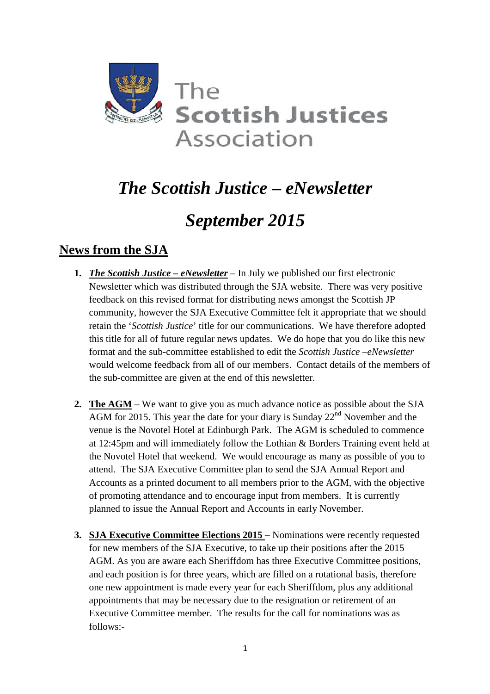

# *The Scottish Justice – eNewsletter*

# *September 2015*

# **News from the SJA**

- **1.** *The Scottish Justice eNewsletter* In July we published our first electronic Newsletter which was distributed through the SJA website. There was very positive feedback on this revised format for distributing news amongst the Scottish JP community, however the SJA Executive Committee felt it appropriate that we should retain the '*Scottish Justice*' title for our communications. We have therefore adopted this title for all of future regular news updates. We do hope that you do like this new format and the sub-committee established to edit the *Scottish Justice –eNewsletter* would welcome feedback from all of our members. Contact details of the members of the sub-committee are given at the end of this newsletter.
- **2. The AGM** We want to give you as much advance notice as possible about the SJA  $\overline{\text{AGM}}$  for 2015. This year the date for your diary is Sunday 22<sup>nd</sup> November and the venue is the Novotel Hotel at Edinburgh Park. The AGM is scheduled to commence at 12:45pm and will immediately follow the Lothian & Borders Training event held at the Novotel Hotel that weekend. We would encourage as many as possible of you to attend. The SJA Executive Committee plan to send the SJA Annual Report and Accounts as a printed document to all members prior to the AGM, with the objective of promoting attendance and to encourage input from members. It is currently planned to issue the Annual Report and Accounts in early November.
- **3. SJA Executive Committee Elections 2015 –** Nominations were recently requested for new members of the SJA Executive, to take up their positions after the 2015 AGM. As you are aware each Sheriffdom has three Executive Committee positions, and each position is for three years, which are filled on a rotational basis, therefore one new appointment is made every year for each Sheriffdom, plus any additional appointments that may be necessary due to the resignation or retirement of an Executive Committee member. The results for the call for nominations was as follows:-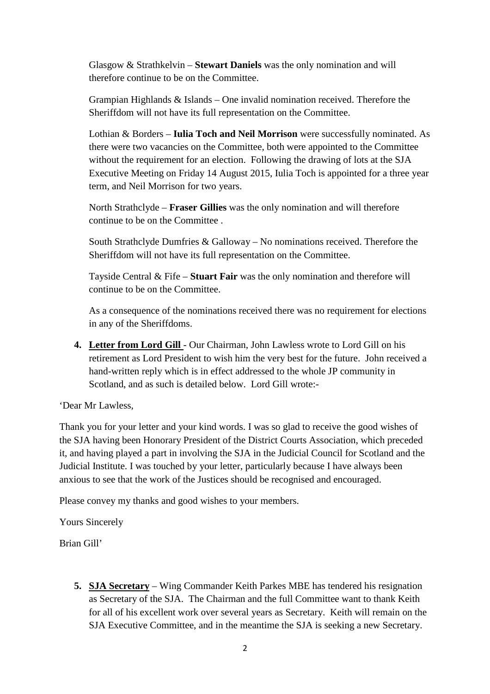Glasgow & Strathkelvin – **Stewart Daniels** was the only nomination and will therefore continue to be on the Committee.

Grampian Highlands & Islands – One invalid nomination received. Therefore the Sheriffdom will not have its full representation on the Committee.

Lothian & Borders – **Iulia Toch and Neil Morrison** were successfully nominated. As there were two vacancies on the Committee, both were appointed to the Committee without the requirement for an election. Following the drawing of lots at the SJA Executive Meeting on Friday 14 August 2015, Iulia Toch is appointed for a three year term, and Neil Morrison for two years.

North Strathclyde – **Fraser Gillies** was the only nomination and will therefore continue to be on the Committee .

South Strathclyde Dumfries & Galloway – No nominations received. Therefore the Sheriffdom will not have its full representation on the Committee.

Tayside Central & Fife – **Stuart Fair** was the only nomination and therefore will continue to be on the Committee.

As a consequence of the nominations received there was no requirement for elections in any of the Sheriffdoms.

**4. Letter from Lord Gill** - Our Chairman, John Lawless wrote to Lord Gill on his retirement as Lord President to wish him the very best for the future. John received a hand-written reply which is in effect addressed to the whole JP community in Scotland, and as such is detailed below. Lord Gill wrote:-

#### 'Dear Mr Lawless,

Thank you for your letter and your kind words. I was so glad to receive the good wishes of the SJA having been Honorary President of the District Courts Association, which preceded it, and having played a part in involving the SJA in the Judicial Council for Scotland and the Judicial Institute. I was touched by your letter, particularly because I have always been anxious to see that the work of the Justices should be recognised and encouraged.

Please convey my thanks and good wishes to your members.

Yours Sincerely

Brian Gill'

**5. SJA Secretary** – Wing Commander Keith Parkes MBE has tendered his resignation as Secretary of the SJA. The Chairman and the full Committee want to thank Keith for all of his excellent work over several years as Secretary. Keith will remain on the SJA Executive Committee, and in the meantime the SJA is seeking a new Secretary.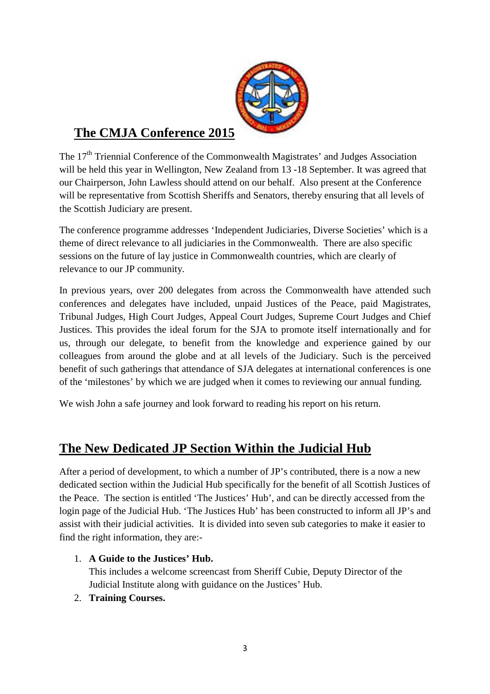

# **The CMJA Conference 2015**

The 17<sup>th</sup> Triennial Conference of the Commonwealth Magistrates' and Judges Association will be held this year in Wellington, New Zealand from 13 -18 September. It was agreed that our Chairperson, John Lawless should attend on our behalf. Also present at the Conference will be representative from Scottish Sheriffs and Senators, thereby ensuring that all levels of the Scottish Judiciary are present.

The conference programme addresses 'Independent Judiciaries, Diverse Societies' which is a theme of direct relevance to all judiciaries in the Commonwealth. There are also specific sessions on the future of lay justice in Commonwealth countries, which are clearly of relevance to our JP community.

In previous years, over 200 delegates from across the Commonwealth have attended such conferences and delegates have included, unpaid Justices of the Peace, paid Magistrates, Tribunal Judges, High Court Judges, Appeal Court Judges, Supreme Court Judges and Chief Justices. This provides the ideal forum for the SJA to promote itself internationally and for us, through our delegate, to benefit from the knowledge and experience gained by our colleagues from around the globe and at all levels of the Judiciary. Such is the perceived benefit of such gatherings that attendance of SJA delegates at international conferences is one of the 'milestones' by which we are judged when it comes to reviewing our annual funding.

We wish John a safe journey and look forward to reading his report on his return.

# **The New Dedicated JP Section Within the Judicial Hub**

After a period of development, to which a number of JP's contributed, there is a now a new dedicated section within the Judicial Hub specifically for the benefit of all Scottish Justices of the Peace. The section is entitled 'The Justices' Hub', and can be directly accessed from the login page of the Judicial Hub. 'The Justices Hub' has been constructed to inform all JP's and assist with their judicial activities. It is divided into seven sub categories to make it easier to find the right information, they are:-

### 1. **A Guide to the Justices' Hub.**

This includes a welcome screencast from Sheriff Cubie, Deputy Director of the Judicial Institute along with guidance on the Justices' Hub.

### 2. **Training Courses.**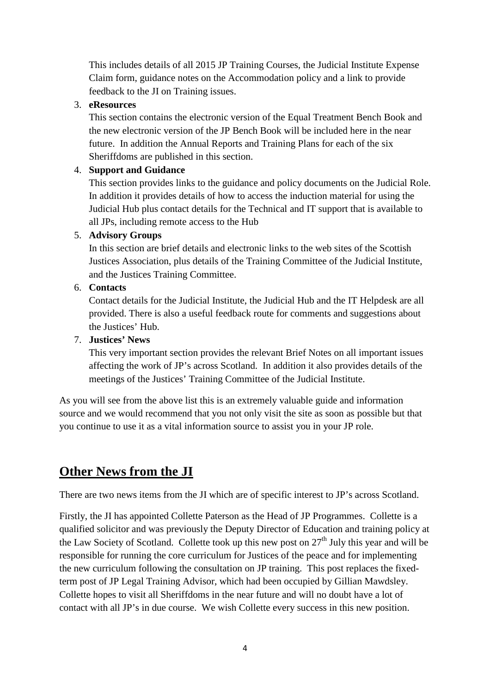This includes details of all 2015 JP Training Courses, the Judicial Institute Expense Claim form, guidance notes on the Accommodation policy and a link to provide feedback to the JI on Training issues.

#### 3. **eResources**

This section contains the electronic version of the Equal Treatment Bench Book and the new electronic version of the JP Bench Book will be included here in the near future. In addition the Annual Reports and Training Plans for each of the six Sheriffdoms are published in this section.

#### 4. **Support and Guidance**

This section provides links to the guidance and policy documents on the Judicial Role. In addition it provides details of how to access the induction material for using the Judicial Hub plus contact details for the Technical and IT support that is available to all JPs, including remote access to the Hub

#### 5. **Advisory Groups**

In this section are brief details and electronic links to the web sites of the Scottish Justices Association, plus details of the Training Committee of the Judicial Institute, and the Justices Training Committee.

#### 6. **Contacts**

Contact details for the Judicial Institute, the Judicial Hub and the IT Helpdesk are all provided. There is also a useful feedback route for comments and suggestions about the Justices' Hub.

#### 7. **Justices' News**

This very important section provides the relevant Brief Notes on all important issues affecting the work of JP's across Scotland. In addition it also provides details of the meetings of the Justices' Training Committee of the Judicial Institute.

As you will see from the above list this is an extremely valuable guide and information source and we would recommend that you not only visit the site as soon as possible but that you continue to use it as a vital information source to assist you in your JP role.

## **Other News from the JI**

There are two news items from the JI which are of specific interest to JP's across Scotland.

Firstly, the JI has appointed Collette Paterson as the Head of JP Programmes. Collette is a qualified solicitor and was previously the Deputy Director of Education and training policy at the Law Society of Scotland. Collette took up this new post on  $27<sup>th</sup>$  July this year and will be responsible for running the core curriculum for Justices of the peace and for implementing the new curriculum following the consultation on JP training. This post replaces the fixedterm post of JP Legal Training Advisor, which had been occupied by Gillian Mawdsley. Collette hopes to visit all Sheriffdoms in the near future and will no doubt have a lot of contact with all JP's in due course. We wish Collette every success in this new position.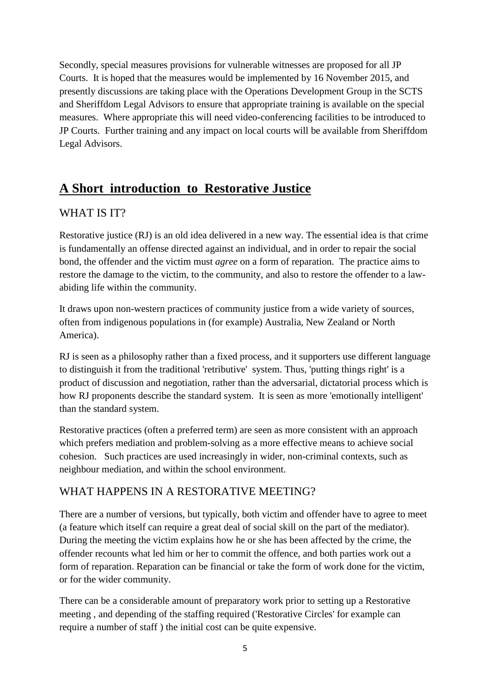Secondly, special measures provisions for vulnerable witnesses are proposed for all JP Courts. It is hoped that the measures would be implemented by 16 November 2015, and presently discussions are taking place with the Operations Development Group in the SCTS and Sheriffdom Legal Advisors to ensure that appropriate training is available on the special measures. Where appropriate this will need video-conferencing facilities to be introduced to JP Courts. Further training and any impact on local courts will be available from Sheriffdom Legal Advisors.

# **A Short introduction to Restorative Justice**

### WHAT IS IT?

Restorative justice (RJ) is an old idea delivered in a new way. The essential idea is that crime is fundamentally an offense directed against an individual, and in order to repair the social bond, the offender and the victim must *agree* on a form of reparation. The practice aims to restore the damage to the victim, to the community, and also to restore the offender to a lawabiding life within the community.

It draws upon non-western practices of community justice from a wide variety of sources, often from indigenous populations in (for example) Australia, New Zealand or North America).

RJ is seen as a philosophy rather than a fixed process, and it supporters use different language to distinguish it from the traditional 'retributive' system. Thus, 'putting things right' is a product of discussion and negotiation, rather than the adversarial, dictatorial process which is how RJ proponents describe the standard system. It is seen as more 'emotionally intelligent' than the standard system.

Restorative practices (often a preferred term) are seen as more consistent with an approach which prefers mediation and problem-solving as a more effective means to achieve social cohesion. Such practices are used increasingly in wider, non-criminal contexts, such as neighbour mediation, and within the school environment.

### WHAT HAPPENS IN A RESTORATIVE MEETING?

There are a number of versions, but typically, both victim and offender have to agree to meet (a feature which itself can require a great deal of social skill on the part of the mediator). During the meeting the victim explains how he or she has been affected by the crime, the offender recounts what led him or her to commit the offence, and both parties work out a form of reparation. Reparation can be financial or take the form of work done for the victim, or for the wider community.

There can be a considerable amount of preparatory work prior to setting up a Restorative meeting , and depending of the staffing required ('Restorative Circles' for example can require a number of staff ) the initial cost can be quite expensive.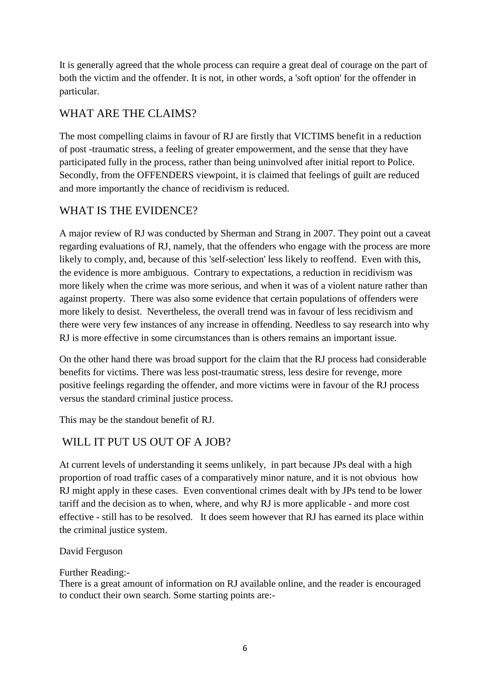It is generally agreed that the whole process can require a great deal of courage on the part of both the victim and the offender. It is not, in other words, a 'soft option' for the offender in particular.

### WHAT ARE THE CLAIMS?

The most compelling claims in favour of RJ are firstly that VICTIMS benefit in a reduction of post -traumatic stress, a feeling of greater empowerment, and the sense that they have participated fully in the process, rather than being uninvolved after initial report to Police. Secondly, from the OFFENDERS viewpoint, it is claimed that feelings of guilt are reduced and more importantly the chance of recidivism is reduced.

## WHAT IS THE EVIDENCE?

A major review of RJ was conducted by Sherman and Strang in 2007. They point out a caveat regarding evaluations of RJ, namely, that the offenders who engage with the process are more likely to comply, and, because of this 'self-selection' less likely to reoffend. Even with this, the evidence is more ambiguous. Contrary to expectations, a reduction in recidivism was more likely when the crime was more serious, and when it was of a violent nature rather than against property. There was also some evidence that certain populations of offenders were more likely to desist. Nevertheless, the overall trend was in favour of less recidivism and there were very few instances of any increase in offending. Needless to say research into why RJ is more effective in some circumstances than is others remains an important issue.

On the other hand there was broad support for the claim that the RJ process had considerable benefits for victims. There was less post-traumatic stress, less desire for revenge, more positive feelings regarding the offender, and more victims were in favour of the RJ process versus the standard criminal justice process.

This may be the standout benefit of RJ.

### WILL IT PUT US OUT OF A JOB?

At current levels of understanding it seems unlikely, in part because JPs deal with a high proportion of road traffic cases of a comparatively minor nature, and it is not obvious how RJ might apply in these cases. Even conventional crimes dealt with by JPs tend to be lower tariff and the decision as to when, where, and why RJ is more applicable - and more cost effective - still has to be resolved. It does seem however that RJ has earned its place within the criminal justice system.

#### David Ferguson

#### Further Reading:-

There is a great amount of information on RJ available online, and the reader is encouraged to conduct their own search. Some starting points are:-